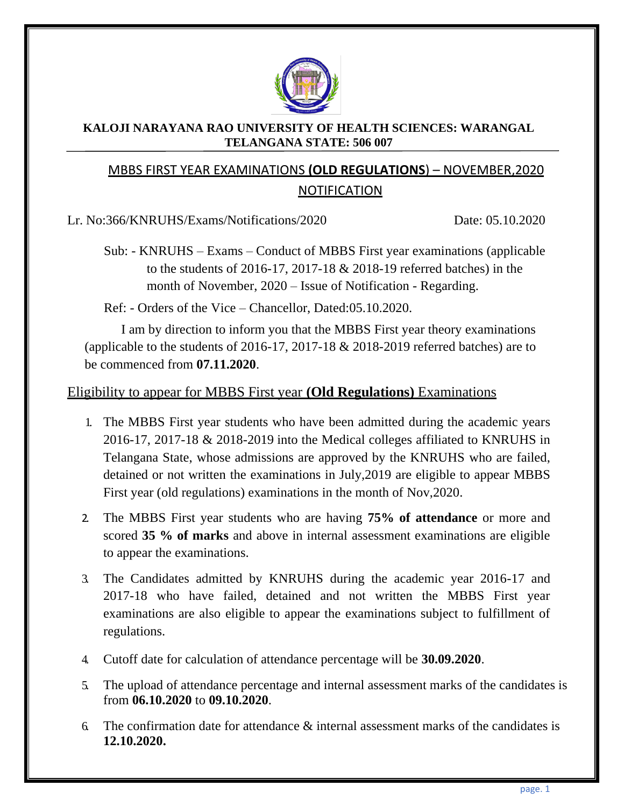

#### **KALOJI NARAYANA RAO UNIVERSITY OF HEALTH SCIENCES: WARANGAL TELANGANA STATE: 506 007**

## MBBS FIRST YEAR EXAMINATIONS **(OLD REGULATIONS**) – NOVEMBER,2020 NOTIFICATION

Lr. No:366/KNRUHS/Exams/Notifications/2020 Date: 05.10.2020

Sub: - KNRUHS – Exams – Conduct of MBBS First year examinations (applicable to the students of 2016-17, 2017-18 & 2018-19 referred batches) in the month of November, 2020 – Issue of Notification - Regarding.

Ref: - Orders of the Vice – Chancellor, Dated:05.10.2020.

I am by direction to inform you that the MBBS First year theory examinations (applicable to the students of 2016-17, 2017-18 & 2018-2019 referred batches) are to be commenced from **07.11.2020**.

## Eligibility to appear for MBBS First year **(Old Regulations)** Examinations

- 1. The MBBS First year students who have been admitted during the academic years 2016-17, 2017-18 & 2018-2019 into the Medical colleges affiliated to KNRUHS in Telangana State, whose admissions are approved by the KNRUHS who are failed, detained or not written the examinations in July,2019 are eligible to appear MBBS First year (old regulations) examinations in the month of Nov,2020.
- 2. The MBBS First year students who are having **75% of attendance** or more and scored **35 % of marks** and above in internal assessment examinations are eligible to appear the examinations.
- 3. The Candidates admitted by KNRUHS during the academic year 2016-17 and 2017-18 who have failed, detained and not written the MBBS First year examinations are also eligible to appear the examinations subject to fulfillment of regulations.
- 4. Cutoff date for calculation of attendance percentage will be **30.09.2020**.
- 5. The upload of attendance percentage and internal assessment marks of the candidates is from **06.10.2020** to **09.10.2020**.
- 6. The confirmation date for attendance  $\&$  internal assessment marks of the candidates is **12.10.2020.**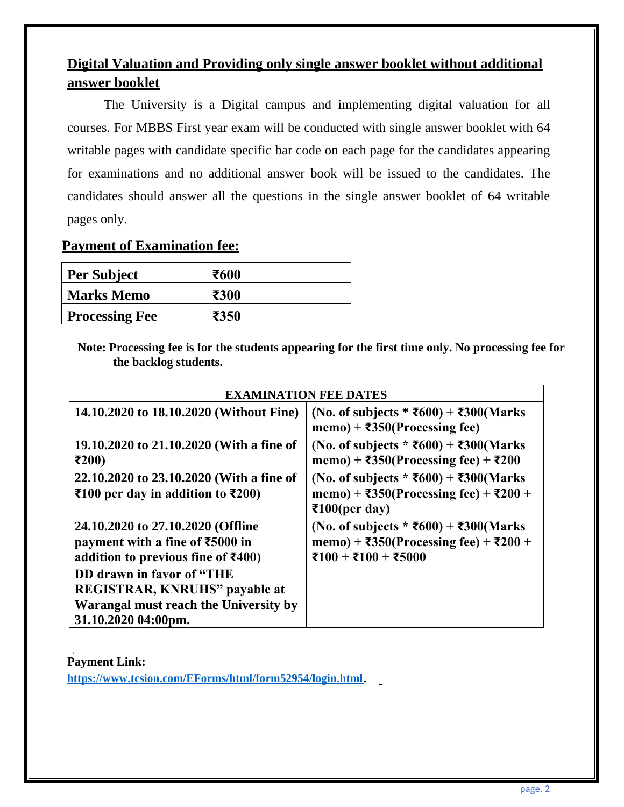# **Digital Valuation and Providing only single answer booklet without additional answer booklet**

The University is a Digital campus and implementing digital valuation for all courses. For MBBS First year exam will be conducted with single answer booklet with 64 writable pages with candidate specific bar code on each page for the candidates appearing for examinations and no additional answer book will be issued to the candidates. The candidates should answer all the questions in the single answer booklet of 64 writable pages only.

## **Payment of Examination fee:**

| <b>Per Subject</b>    | ₹600 |
|-----------------------|------|
| <b>Marks Memo</b>     | ₹300 |
| <b>Processing Fee</b> | ₹350 |

 **Note: Processing fee is for the students appearing for the first time only. No processing fee for the backlog students.**

| <b>EXAMINATION FEE DATES</b>                                                                                                                                                                                                                                                               |                                                                                                                                                        |  |  |
|--------------------------------------------------------------------------------------------------------------------------------------------------------------------------------------------------------------------------------------------------------------------------------------------|--------------------------------------------------------------------------------------------------------------------------------------------------------|--|--|
| 14.10.2020 to 18.10.2020 (Without Fine)                                                                                                                                                                                                                                                    | (No. of subjects * ₹600) + ₹300(Marks<br>memo) + $\overline{350}$ (Processing fee)                                                                     |  |  |
| 19.10.2020 to 21.10.2020 (With a fine of<br>₹200)                                                                                                                                                                                                                                          | (No. of subjects * ₹600) + ₹300(Marks<br>memo) + $\overline{\text{350}}$ (Processing fee) + $\overline{\text{200}}$                                    |  |  |
| 22.10.2020 to 23.10.2020 (With a fine of<br>₹100 per day in addition to $\overline{\text{E}}200$ )                                                                                                                                                                                         | (No. of subjects $*$ ₹600) + ₹300(Marks<br>memo) + ₹350(Processing fee) + ₹200 +<br>$\overline{\text{2100}}$ (per day)                                 |  |  |
| 24.10.2020 to 27.10.2020 (Offline<br>payment with a fine of $\text{\textsterling}5000$ in<br>addition to previous fine of $\text{\textsterling}400$ )<br>DD drawn in favor of "THE<br><b>REGISTRAR, KNRUHS"</b> payable at<br>Warangal must reach the University by<br>31.10.2020 04:00pm. | (No. of subjects * ₹600) + ₹300(Marks<br>memo) + $\overline{\overline{6}}350$ (Processing fee) + $\overline{\overline{6}}200$ +<br>₹100 + ₹100 + ₹5000 |  |  |

**Payment Link: [https://www.tcsion.com/EForms/html/form52954/login.html.](https://www.tcsion.com/EForms/html/form52954/login.html)**